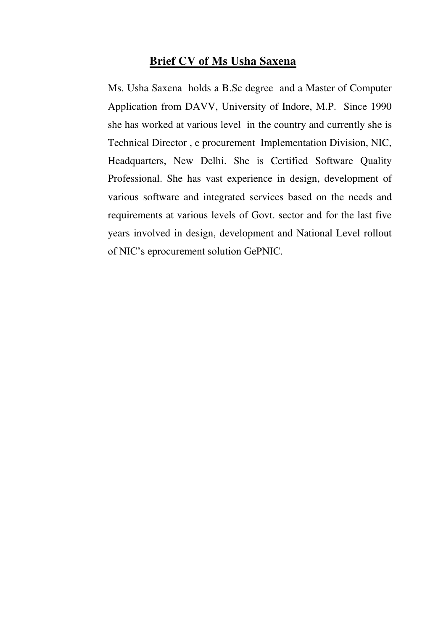#### **Brief CV of Ms Usha Saxena**

Ms. Usha Saxena holds a B.Sc degree and a Master of Computer Application from DAVV, University of Indore, M.P. Since 1990 she has worked at various level in the country and currently she is Technical Director , e procurement Implementation Division, NIC, Headquarters, New Delhi. She is Certified Software Quality Professional. She has vast experience in design, development of various software and integrated services based on the needs and requirements at various levels of Govt. sector and for the last five years involved in design, development and National Level rollout of NIC's eprocurement solution GePNIC.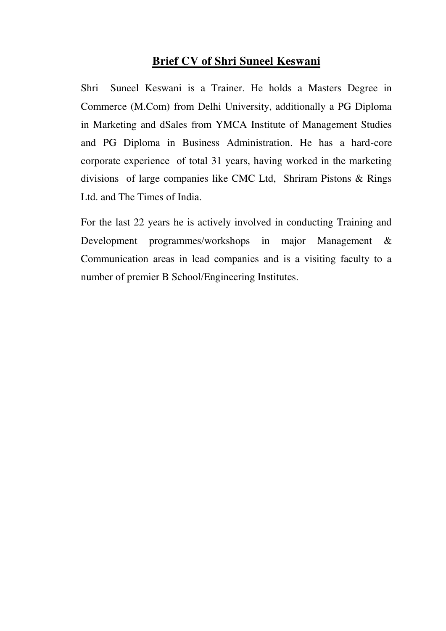# **Brief CV of Shri Suneel Keswani**

Shri Suneel Keswani is a Trainer. He holds a Masters Degree in Commerce (M.Com) from Delhi University, additionally a PG Diploma in Marketing and dSales from YMCA Institute of Management Studies and PG Diploma in Business Administration. He has a hard-core corporate experience of total 31 years, having worked in the marketing divisions of large companies like CMC Ltd, Shriram Pistons & Rings Ltd. and The Times of India.

For the last 22 years he is actively involved in conducting Training and Development programmes/workshops in major Management & Communication areas in lead companies and is a visiting faculty to a number of premier B School/Engineering Institutes.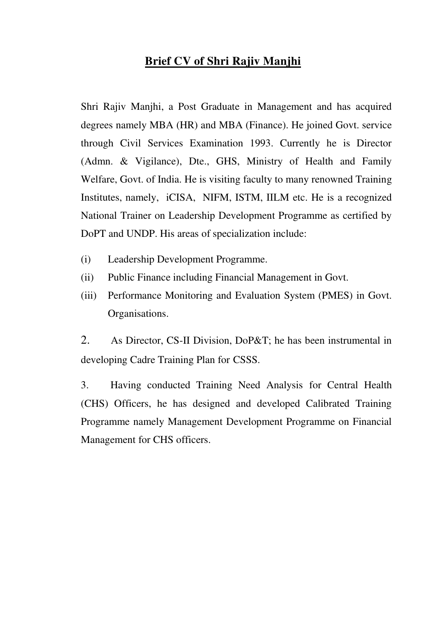### **Brief CV of Shri Rajiv Manjhi**

Shri Rajiv Manjhi, a Post Graduate in Management and has acquired degrees namely MBA (HR) and MBA (Finance). He joined Govt. service through Civil Services Examination 1993. Currently he is Director (Admn. & Vigilance), Dte., GHS, Ministry of Health and Family Welfare, Govt. of India. He is visiting faculty to many renowned Training Institutes, namely, iCISA, NIFM, ISTM, IILM etc. He is a recognized National Trainer on Leadership Development Programme as certified by DoPT and UNDP. His areas of specialization include:

- (i) Leadership Development Programme.
- (ii) Public Finance including Financial Management in Govt.
- (iii) Performance Monitoring and Evaluation System (PMES) in Govt. Organisations.

2. As Director, CS-II Division, DoP&T; he has been instrumental in developing Cadre Training Plan for CSSS.

3. Having conducted Training Need Analysis for Central Health (CHS) Officers, he has designed and developed Calibrated Training Programme namely Management Development Programme on Financial Management for CHS officers.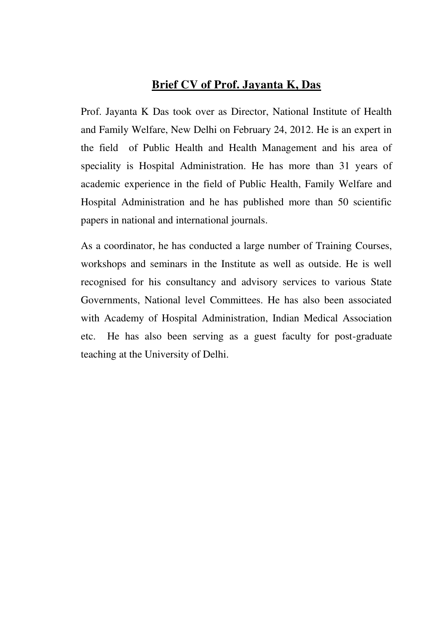#### **Brief CV of Prof. Jayanta K, Das**

Prof. Jayanta K Das took over as Director, National Institute of Health and Family Welfare, New Delhi on February 24, 2012. He is an expert in the field of Public Health and Health Management and his area of speciality is Hospital Administration. He has more than 31 years of academic experience in the field of Public Health, Family Welfare and Hospital Administration and he has published more than 50 scientific papers in national and international journals.

As a coordinator, he has conducted a large number of Training Courses, workshops and seminars in the Institute as well as outside. He is well recognised for his consultancy and advisory services to various State Governments, National level Committees. He has also been associated with Academy of Hospital Administration, Indian Medical Association etc. He has also been serving as a guest faculty for post-graduate teaching at the University of Delhi.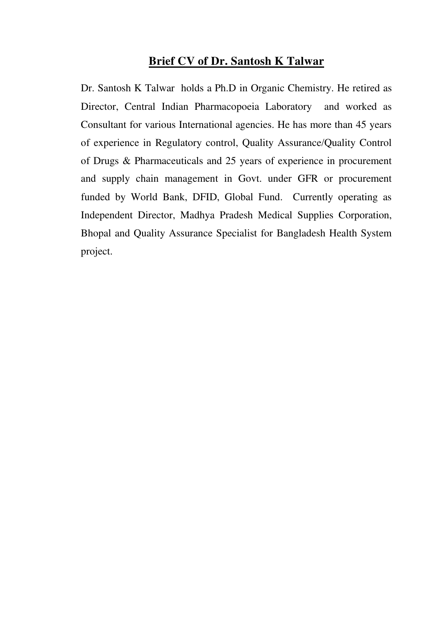#### **Brief CV of Dr. Santosh K Talwar**

Dr. Santosh K Talwar holds a Ph.D in Organic Chemistry. He retired as Director, Central Indian Pharmacopoeia Laboratory and worked as Consultant for various International agencies. He has more than 45 years of experience in Regulatory control, Quality Assurance/Quality Control of Drugs & Pharmaceuticals and 25 years of experience in procurement and supply chain management in Govt. under GFR or procurement funded by World Bank, DFID, Global Fund. Currently operating as Independent Director, Madhya Pradesh Medical Supplies Corporation, Bhopal and Quality Assurance Specialist for Bangladesh Health System project.